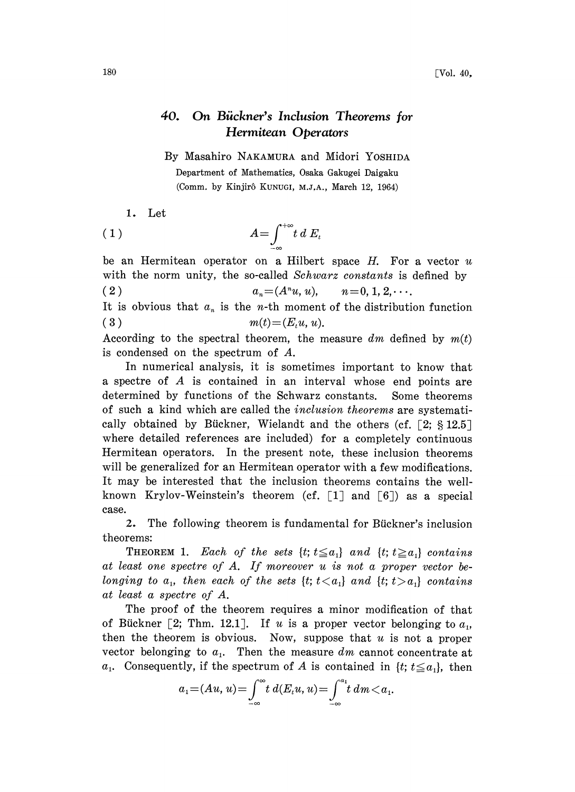## $180$  [Vol. 40,

## 40. On Biickner's Inclusion Theorems for Hermitean Operators

By Masahiro NAKAMURA and Midori YOSHIDA Department of Mathematics, Osaka Gakugei Daigaku (Comm. by Kinjirô KUNUGI, M.J.A., March 12, 1964)

```
1. Let
```

$$
(1) \t A = \int_{-\infty}^{+\infty} t \, dE_t
$$

be an Hermitean operator on a Hilbert space  $H$ . For a vector  $u$ with the norm unity, the so-called Schwarz constants is defined by ( 2 )  $a_n = (A^n u, u), \quad n = 0, 1, 2, \cdots$ It is obvious that  $a_n$  is the *n*-th moment of the distribution function.

(3)  $m(t) = (E_t u, u).$ 

According to the spectral theorem, the measure dm defined by  $m(t)$ is condensed on the spectrum of A.

In numerical analysis, it is sometimes important to know that <sup>a</sup> spectre of A is contained in an interval whose end points are determined by functions of the Schwarz constants. Some theorems of such a kind which are called the inclusion theorems are systematically obtained by Bückner, Wielandt and the others (cf.  $\lceil 2; \S 12.5 \rceil$ where detailed references are included) for a completely continuous Hermitean operators. In the present note, these inclusion theorems will be generalized for an Hermitean operator with a few modifications. It may be interested that the inclusion theorems contains the wellknown Krylov-Weinstein's theorem (cf.  $\lceil 1 \rceil$  and  $\lceil 6 \rceil$ ) as a special case.

2. The following theorem is fundamental for Bückner's inclusion theorems:

THEOREM 1. Each of the sets  $\{t; t \leq a_1\}$  and  $\{t; t \geq a_1\}$  contains at least one spectre of A. If moreover u is not a proper vector belonging to  $a_1$ , then each of the sets  $\{t; t < a_1\}$  and  $\{t; t > a_1\}$  contains at least a spectre of A.

The proof of the theorem requires a minor modification of that of Bückner [2; Thm. 12.1]. If u is a proper vector belonging to  $a_1$ , then the theorem is obvious. Now, suppose that  $u$  is not a proper vector belonging to  $a_1$ . Then the measure dm cannot concentrate at  $a_1$ . Consequently, if the spectrum of A is contained in  $\{t; t \leq a_1\}$ , then

$$
a_1 = (Au, u) = \int_{-\infty}^{\infty} t \ d(E_t u, u) = \int_{-\infty}^{a_1} t \ dm < a_1.
$$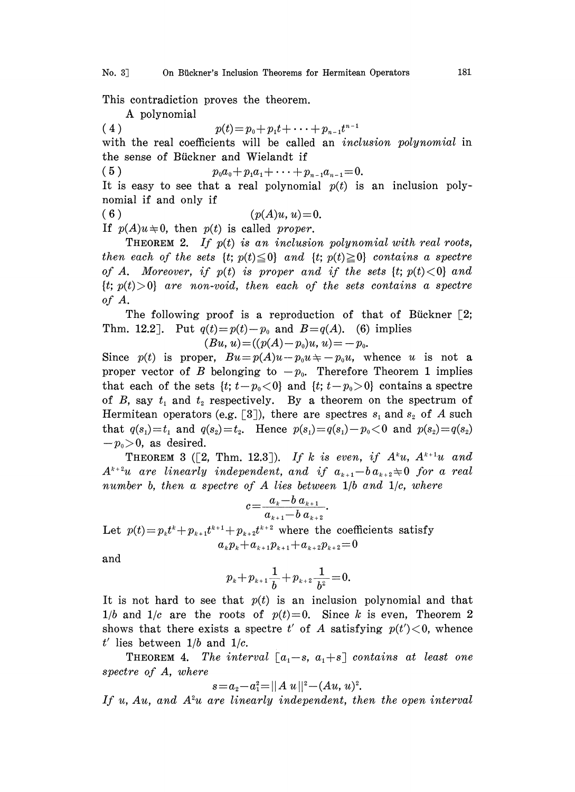This contradiction proves the theorem.

A polynomial

(4)  $p(t)=p_0+p_1t+\cdots+p_{n-1}t^{n-1}$ 

with the real coefficients will be called an *inclusion polynomial* in the sense of Bickner and Wielandt if

(5)  $p_0a_0+p_1a_1+\cdots+p_{n-1}a_{n-1}=0.$ 

It is easy to see that a real polynomial  $p(t)$  is an inclusion polynomial if and only if

(6)  $(p(A)u, u)=0.$ 

If  $p(A)u \neq 0$ , then  $p(t)$  is called proper.

**THEOREM 2.** If  $p(t)$  is an inclusion polynomial with real roots, then each of the sets  $\{t; p(t) \leq 0\}$  and  $\{t; p(t) \geq 0\}$  contains a spectre of A. Moreover, if  $p(t)$  is proper and if the sets  $\{t; p(t) < 0\}$  and  ${t; p(t)>0}$  are non-void, then each of the sets contains a spectre of A.

The following proof is a reproduction of that of Bückner  $\lceil 2; \rceil$ Thm. 12.2]. Put  $q(t)=p(t)-p_0$  and  $B=q(A)$ . (6) implies

$$
(Bu, u) = ((p(A) - p_0)u, u) = -p_0.
$$

Since  $p(t)$  is proper,  $Bu = p(A)u - p_0u \neq -p_0u$ , whence u is not a proper vector of B belonging to  $-p_0$ . Therefore Theorem 1 implies that each of the sets  $\{t; t-p_0 < 0\}$  and  $\{t; t-p_0 > 0\}$  contains a spectre of B, say  $t_1$  and  $t_2$  respectively. By a theorem on the spectrum of Hermitean operators (e.g. [3]), there are spectres  $s_i$  and  $s_2$  of A such that  $q(s_1)=t_1$  and  $q(s_2)=t_2$ . Hence  $p(s_1)=q(s_1)-p_0<0$  and  $p(s_2)=q(s_2)$  $-p_0>0$ , as desired.

THEOREM 3 ([2, Thm. 12.3]). If k is even, if  $A^k u$ ,  $A^{k+1} u$  and  $A^{k+2}u$  are linearly independent, and if  $a_{k+1}-b a_{k+2} \neq 0$  for a real number b, then a spectre of  $A$  lies between  $1/b$  and  $1/c$ , where

$$
c = \frac{a_k - b \, a_{k+1}}{a_{k+1} - b \, a_{k+2}}.
$$

Let  $p(t) = p_k t^k + p_{k+1} t^{k+1} + p_{k+2} t^{k+2}$  where the coefficients satisfy  $a_k p_k + a_{k+1} p_{k+1} + a_{k+2} p_{k+2} = 0$ 

and

$$
p_k + p_{k+1} \frac{1}{b} + p_{k+2} \frac{1}{b^2} = 0.
$$

 $+p_{k+1} \frac{1}{b} + p_{k+2} \frac{1}{b^2} = 0.$ <br>
t  $p(t)$  is an inclusion<br>
ts of  $p(t)=0$ . Since<br>
t spectre t' of A satis It is not hard to see that  $p(t)$  is an inclusion polynomial and that  $1/b$  and  $1/c$  are the roots of  $p(t)=0$ . Since k is even, Theorem 2 shows that there exists a spectre t' of A satisfying  $p(t') < 0$ , whence  $t'$  lies between  $1/b$  and  $1/c$ .

THEOREM 4. The interval  $[a_1-s, a_1+s]$  contains at least one spectre of A, where

$$
s = a_2 - a_1^2 = ||A u||^2 - (Au, u)^2.
$$

If u, Au, and  $A^2u$  are linearly independent, then the open interval